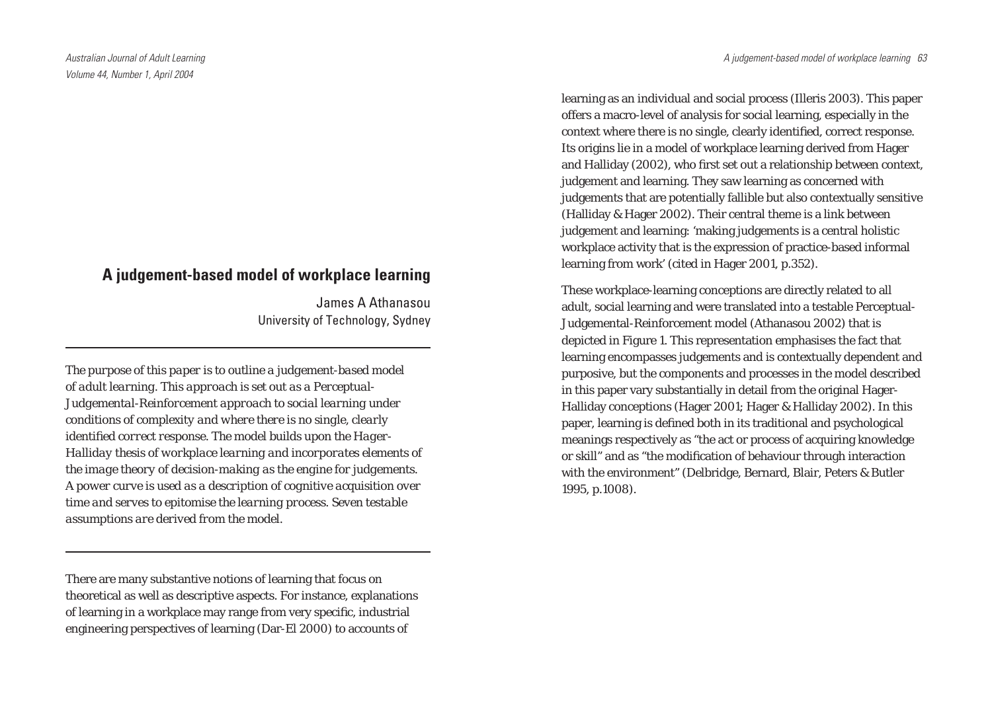# **A judgement-based model of workplace learning**

James A Athanasou University of Technology, Sydney

*The purpose of this paper is to outline a judgement-based model of adult learning. This approach is set out as a Perceptual-Judgemental-Reinforcement approach to social learning under conditions of complexity and where there is no single, clearly*  identified correct response. The model builds upon the Hager-*Halliday thesis of workplace learning and incorporates elements of the image theory of decision-making as the engine for judgements. A power curve is used as a description of cognitive acquisition over time and serves to epitomise the learning process. Seven testable assumptions are derived from the model.*

There are many substantive notions of learning that focus on theoretical as well as descriptive aspects. For instance, explanations of learning in a workplace may range from very specific, industrial engineering perspectives of learning (Dar-El 2000) to accounts of

learning as an individual and social process (Illeris 2003). This paper offers a macro-level of analysis for social learning, especially in the context where there is no single, clearly identified, correct response. Its origins lie in a model of workplace learning derived from Hager and Halliday (2002), who first set out a relationship between context, judgement and learning. They saw learning as concerned with judgements that are potentially fallible but also contextually sensitive (Halliday & Hager 2002). Their central theme is a link between judgement and learning: 'making judgements is a central holistic workplace activity that is the expression of practice-based informal learning from work' (cited in Hager 2001, p.352).

These workplace-learning conceptions are directly related to all adult, social learning and were translated into a testable Perceptual-Judgemental-Reinforcement model (Athanasou 2002) that is depicted in Figure 1. This representation emphasises the fact that learning encompasses judgements and is contextually dependent and purposive, but the components and processes in the model described in this paper vary substantially in detail from the original Hager-Halliday conceptions (Hager 2001; Hager & Halliday 2002). In this paper, learning is defined both in its traditional and psychological meanings respectively as "the act or process of acquiring knowledge or skill" and as "the modification of behaviour through interaction with the environment" (Delbridge, Bernard, Blair, Peters & Butler 1995, p.1008).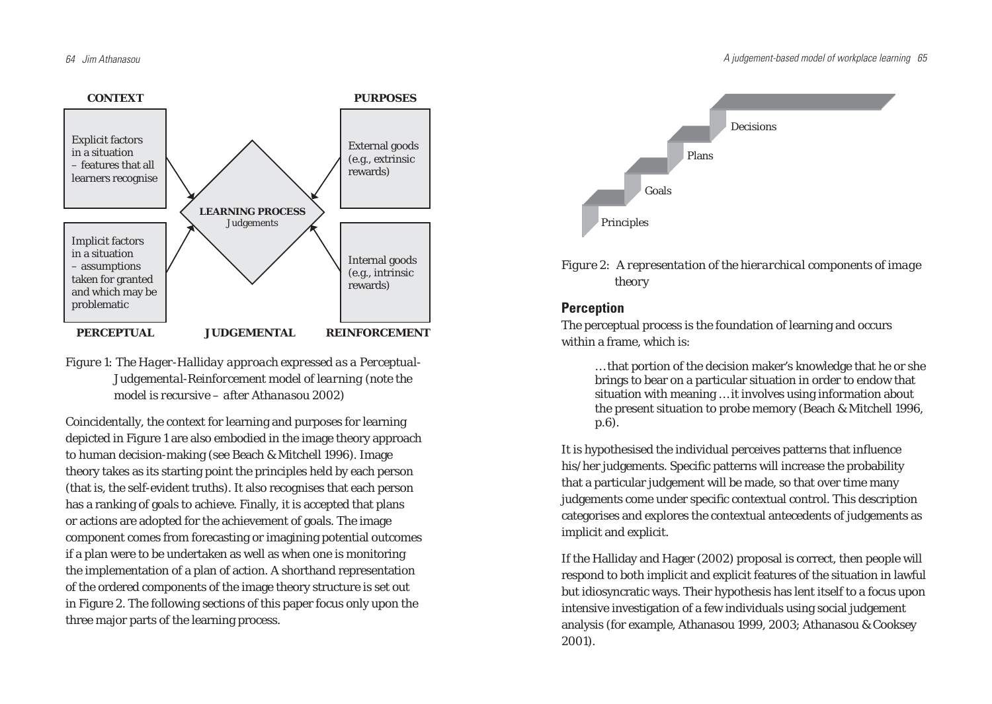

*Figure 1: The Hager-Halliday approach expressed as a Perceptual-Judgemental-Reinforcement model of learning (note the model is recursive – after Athanasou 2002)*

Coincidentally, the context for learning and purposes for learning depicted in Figure 1 are also embodied in the image theory approach to human decision-making (see Beach & Mitchell 1996). Image theory takes as its starting point the principles held by each person (that is, the self-evident truths). It also recognises that each person has a ranking of goals to achieve. Finally, it is accepted that plans or actions are adopted for the achievement of goals. The image component comes from forecasting or imagining potential outcomes if a plan were to be undertaken as well as when one is monitoring the implementation of a plan of action. A shorthand representation of the ordered components of the image theory structure is set out in Figure 2. The following sections of this paper focus only upon the three major parts of the learning process.



*Figure 2: A representation of the hierarchical components of image theory*

## **Perception**

The perceptual process is the foundation of learning and occurs within a frame, which is:

… that portion of the decision maker's knowledge that he or she brings to bear on a particular situation in order to endow that situation with meaning … it involves using information about the present situation to probe memory (Beach & Mitchell 1996, p.6).

It is hypothesised the individual perceives patterns that influence his/her judgements. Specific patterns will increase the probability that a particular judgement will be made, so that over time many judgements come under specific contextual control. This description categorises and explores the contextual antecedents of judgements as implicit and explicit.

If the Halliday and Hager (2002) proposal is correct, then people will respond to both implicit and explicit features of the situation in lawful but idiosyncratic ways. Their hypothesis has lent itself to a focus upon intensive investigation of a few individuals using social judgement analysis (for example, Athanasou 1999, 2003; Athanasou & Cooksey 2001).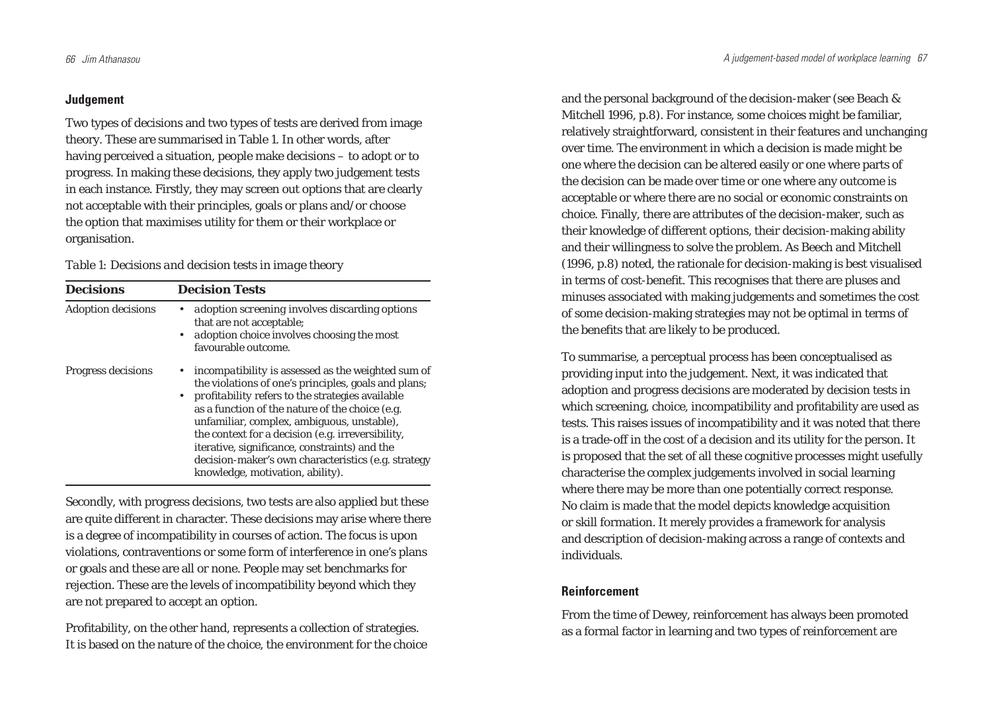### **Judgement**

Two types of decisions and two types of tests are derived from image theory. These are summarised in Table 1. In other words, after having perceived a situation, people make decisions – to adopt or to progress. In making these decisions, they apply two judgement tests in each instance. Firstly, they may screen out options that are clearly not acceptable with their principles, goals or plans and/or choose the option that maximises utility for them or their workplace or organisation.

### *Table 1: Decisions and decision tests in image theory*

| <b>Decisions</b>          | <b>Decision Tests</b>                                                                                                                                                                                                                                                                                                                                                                                                                                                     |
|---------------------------|---------------------------------------------------------------------------------------------------------------------------------------------------------------------------------------------------------------------------------------------------------------------------------------------------------------------------------------------------------------------------------------------------------------------------------------------------------------------------|
| <b>Adoption decisions</b> | adoption screening involves discarding options<br>that are not acceptable;<br><i>adoption choice</i> involves choosing the most<br>$\bullet$<br>favourable outcome.                                                                                                                                                                                                                                                                                                       |
| Progress decisions        | <i>incompatibility</i> is assessed as the weighted sum of<br>the violations of one's principles, goals and plans;<br>• profitability refers to the strategies available<br>as a function of the nature of the choice (e.g.<br>unfamiliar, complex, ambiguous, unstable),<br>the context for a decision (e.g. irreversibility,<br>iterative, significance, constraints) and the<br>decision-maker's own characteristics (e.g. strategy<br>knowledge, motivation, ability). |

Secondly, with progress decisions, two tests are also applied but these are quite different in character. These decisions may arise where there is a degree of incompatibility in courses of action. The focus is upon violations, contraventions or some form of interference in one's plans or goals and these are all or none. People may set benchmarks for rejection. These are the levels of incompatibility beyond which they are not prepared to accept an option.

Profitability, on the other hand, represents a collection of strategies. It is based on the nature of the choice, the environment for the choice

and the personal background of the decision-maker (see Beach & Mitchell 1996, p.8). For instance, some choices might be familiar, relatively straightforward, consistent in their features and unchanging over time. The environment in which a decision is made might be one where the decision can be altered easily or one where parts of the decision can be made over time or one where any outcome is acceptable or where there are no social or economic constraints on choice. Finally, there are attributes of the decision-maker, such as their knowledge of different options, their decision-making ability and their willingness to solve the problem. As Beech and Mitchell (1996, p.8) noted, the rationale for decision-making is best visualised in terms of cost-benefit. This recognises that there are pluses and minuses associated with making judgements and sometimes the cost of some decision-making strategies may not be optimal in terms of the benefits that are likely to be produced.

To summarise, a perceptual process has been conceptualised as providing input into the judgement. Next, it was indicated that adoption and progress decisions are moderated by decision tests in which screening, choice, incompatibility and profitability are used as tests. This raises issues of incompatibility and it was noted that there is a trade-off in the cost of a decision and its utility for the person. It is proposed that the set of all these cognitive processes might usefully characterise the complex judgements involved in social learning where there may be more than one potentially correct response. No claim is made that the model depicts knowledge acquisition or skill formation. It merely provides a framework for analysis and description of decision-making across a range of contexts and individuals.

## **Reinforcement**

From the time of Dewey, reinforcement has always been promoted as a formal factor in learning and two types of reinforcement are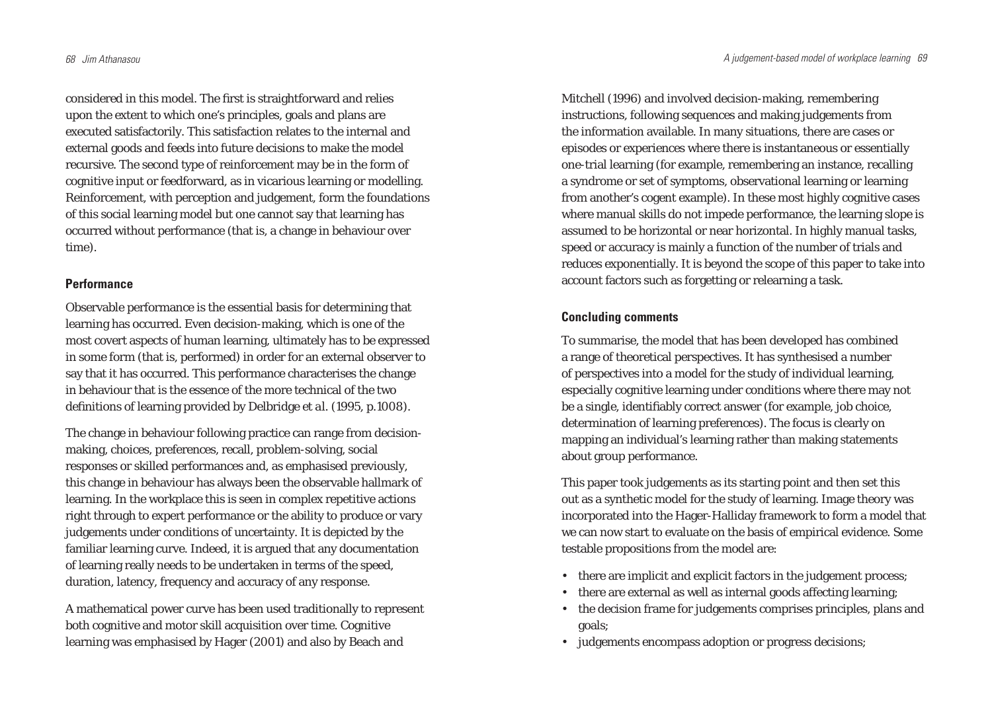considered in this model. The first is straightforward and relies upon the extent to which one's principles, goals and plans are executed satisfactorily. This satisfaction relates to the internal and external goods and feeds into future decisions to make the model recursive. The second type of reinforcement may be in the form of cognitive input or feedforward, as in vicarious learning or modelling. Reinforcement, with perception and judgement, form the foundations of this social learning model but one cannot say that learning has occurred without performance (that is, a change in behaviour over time).

#### **Performance**

Observable performance is the essential basis for determining that learning has occurred. Even decision-making, which is one of the most covert aspects of human learning, ultimately has to be expressed in some form (that is, performed) in order for an external observer to say that it has occurred. This performance characterises the change in behaviour that is the essence of the more technical of the two definitions of learning provided by Delbridge *et al.* (1995, p.1008).

The change in behaviour following practice can range from decisionmaking, choices, preferences, recall, problem-solving, social responses or skilled performances and, as emphasised previously, this change in behaviour has always been the observable hallmark of learning. In the workplace this is seen in complex repetitive actions right through to expert performance or the ability to produce or vary judgements under conditions of uncertainty. It is depicted by the familiar learning curve. Indeed, it is argued that any documentation of learning really needs to be undertaken in terms of the speed, duration, latency, frequency and accuracy of any response.

A mathematical power curve has been used traditionally to represent both cognitive and motor skill acquisition over time. Cognitive learning was emphasised by Hager (2001) and also by Beach and

Mitchell (1996) and involved decision-making, remembering instructions, following sequences and making judgements from the information available. In many situations, there are cases or episodes or experiences where there is instantaneous or essentially one-trial learning (for example, remembering an instance, recalling a syndrome or set of symptoms, observational learning or learning from another's cogent example). In these most highly cognitive cases where manual skills do not impede performance, the learning slope is assumed to be horizontal or near horizontal. In highly manual tasks, speed or accuracy is mainly a function of the number of trials and reduces exponentially. It is beyond the scope of this paper to take into account factors such as forgetting or relearning a task.

## **Concluding comments**

To summarise, the model that has been developed has combined a range of theoretical perspectives. It has synthesised a number of perspectives into a model for the study of individual learning, especially cognitive learning under conditions where there may not be a single, identifiably correct answer (for example, job choice, determination of learning preferences). The focus is clearly on mapping an individual's learning rather than making statements about group performance.

This paper took judgements as its starting point and then set this out as a synthetic model for the study of learning. Image theory was incorporated into the Hager-Halliday framework to form a model that we can now start to evaluate on the basis of empirical evidence. Some testable propositions from the model are:

- there are implicit and explicit factors in the judgement process;
- there are external as well as internal goods affecting learning;
- the decision frame for judgements comprises principles, plans and goals;
- judgements encompass adoption or progress decisions;